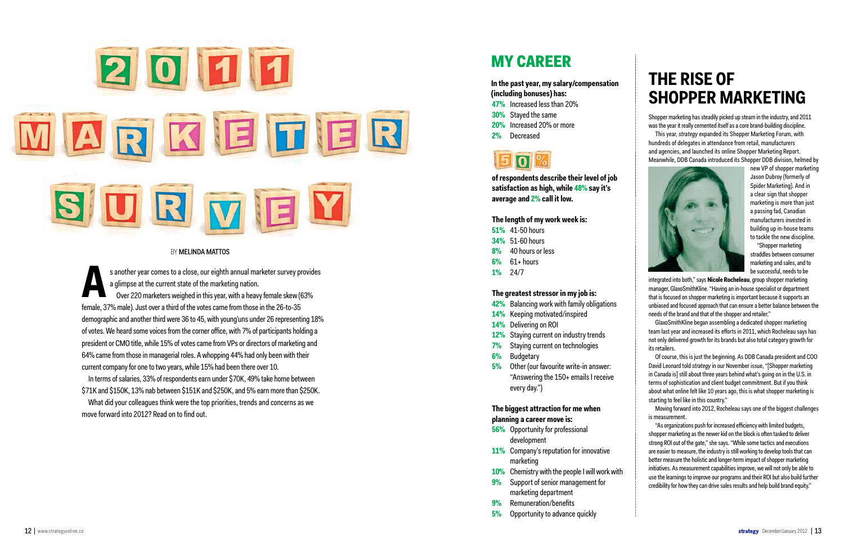

#### BY **MELINDA MATTOS**

s another year comes to a close, our eighth annual marketer survey provides a glimpse at the current state of the marketing nation. Over 220 marketers weighed in this year, with a heavy female skew (63% female, 37% male). Just over a third of the votes came from those in the 26-to-35 demographic and another third were 36 to 45, with young'uns under 26 representing 18% of votes. We heard some voices from the corner office, with 7% of participants holding a president or CMO title, while 15% of votes came from VPs or directors of marketing and 64% came from those in managerial roles. A whopping 44% had only been with their current company for one to two years, while 15% had been there over 10. s another year comes to a close, out<br>a glimpse at the current state of the<br>Over 220 marketers weighed in th<br>female, 37% male). Just over a third of the vote<br>demographic and another third were 36 to 45, v<br>of votes. We heard

In terms of salaries, 33% of respondents earn under \$70K, 49% take home between \$71K and \$150K, 13% nab between \$151K and \$250K, and 5% earn more than \$250K.

What did your colleagues think were the top priorities, trends and concerns as we

## My career

**In the past year, my salary/compensation (including bonuses) has:**

- **47%** Increased less than 20%
- **30%** Stayed the same
- **20%** Increased 20% or more
- **2%** Decreased



**of respondents describe their level of job satisfaction as high, while 48% say it's average and 2% call it low.** 

#### **The length of my work week is:**

- **51%** 41-50 hours
- **34%** 51-60 hours
- **8%** 40 hours or less
- **6%** 61+ hours
- **1%** 24/7

#### **The greatest stressor in my job is:**

- **42%** Balancing work with family obligations
- **14%** Keeping motivated/inspired
- **14%** Delivering on ROI
- **12%** Staying current on industry trends
- **7%** Staying current on technologies
- **6%** Budgetary
- **5%** Other (our favourite write-in answer: "Answering the 150+ emails I receive every day.")

### **The biggest attraction for me when planning a career move is:**

- **56%** Opportunity for professional development
- **11%** Company's reputation for innovative marketing
- **10%** Chemistry with the people I will work with
- **9%** Support of senior management for marketing department
- **9%** Remuneration/benefits
- **5%** Opportunity to advance quickly

Shopper marketing has steadily picked up steam in the industry, and 2011 was the year it really cemented itself as a core brand-building discipline.

## **The rise of**  SHOPPER MARKETING

This year, *strategy* expanded its Shopper Marketing Forum, with hundreds of delegates in attendance from retail, manufacturers and agencies, and launched its online Shopper Marketing Report. Meanwhile, DDB Canada introduced its Shopper DDB division, helmed by



new VP of shopper marketing Jason Dubroy (formerly of Spider Marketing). And in a clear sign that shopper marketing is more than just a passing fad, Canadian manufacturers invested in building up in-house teams to tackle the new discipline.

"Shopper marketing straddles between consumer marketing and sales, and to be successful, needs to be

integrated into both," says **Nicole Rocheleau**, group shopper marketing manager, GlaxoSmithKline. "Having an in-house specialist or department that is focused on shopper marketing is important because it supports an unbiased and focused approach that can ensure a better balance between the needs of the brand and that of the shopper and retailer."

GlaxoSmithKline began assembling a dedicated shopper marketing team last year and increased its efforts in 2011, which Rocheleau says has not only delivered growth for its brands but also total category growth for its retailers.

Of course, this is just the beginning. As DDB Canada president and COO David Leonard told *strategy* in our November issue, "[Shopper marketing in Canada is] still about three years behind what's going on in the U.S. in terms of sophistication and client budget commitment. But if you think about what online felt like 10 years ago, this is what shopper marketing is starting to feel like in this country."

Moving forward into 2012, Rocheleau says one of the biggest challenges is measurement.

"As organizations push for increased efficiency with limited budgets, shopper marketing as the newer kid on the block is often tasked to deliver strong ROI out of the gate," she says. "While some tactics and executions are easier to measure, the industry is still working to develop tools that can better measure the holistic and longer-term impact of shopper marketing initiatives. As measurement capabilities improve, we will not only be able to use the learnings to improve our programs and their ROI but also build further credibility for how they can drive sales results and help build brand equity."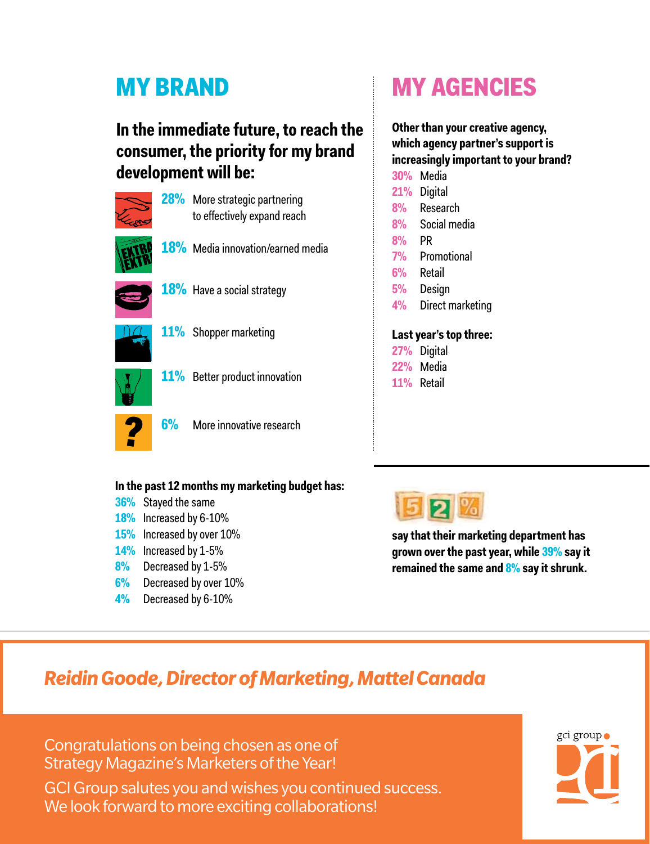### **In the immediate future, to reach the consumer, the priority for my brand development will be:**



## My brand My agencies

**Other than your creative agency, which agency partner's support is increasingly important to your brand?**

| <b>30%</b>             | Media            |
|------------------------|------------------|
| $21\%$                 | Digital          |
| 8%                     | Research         |
| 8%                     | Social media     |
| 8%                     | PR               |
| <b>7%</b>              | Promotional      |
|                        | 6% Retail        |
| 5%                     | Design           |
| $4\%$                  | Direct marketing |
|                        |                  |
| Last year's top three: |                  |
|                        | 27% Digital      |
|                        | 22% Media        |

#### **In the past 12 months my marketing budget has:**

- **36%** Stayed the same
- **18%** Increased by 6-10%
- **15%** Increased by over 10%
- **14%** Increased by 1-5%
- **8%** Decreased by 1-5%
- **6%** Decreased by over 10%
- **4%** Decreased by 6-10%



**11%** Retail

**say that their marketing department has grown over the past year, while 39% say it remained the same and 8% say it shrunk.** 

## *Reidin Goode, Director of Marketing, Mattel Canada*

Congratulations on being chosen as one of Strategy Magazine's Marketers of the Year!

GCI Group salutes you and wishes you continued success. We look forward to more exciting collaborations!

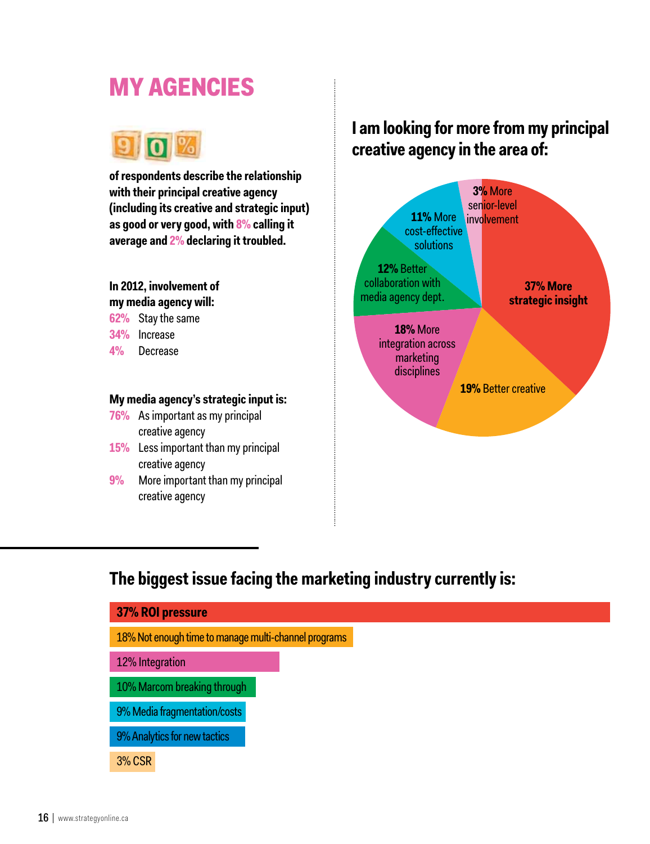## My agencies



**of respondents describe the relationship with their principal creative agency (including its creative and strategic input) as good or very good, with 8% calling it average and 2% declaring it troubled.** 

### **In 2012, involvement of**

**my media agency will:**

**62%** Stay the same

**34%** Increase

**4%** Decrease

### **My media agency's strategic input is:**

- **76%** As important as my principal creative agency
- **15%** Less important than my principal creative agency
- **9%** More important than my principal creative agency

### **I am looking for more from my principal creative agency in the area of:**



### **The biggest issue facing the marketing industry currently is:**

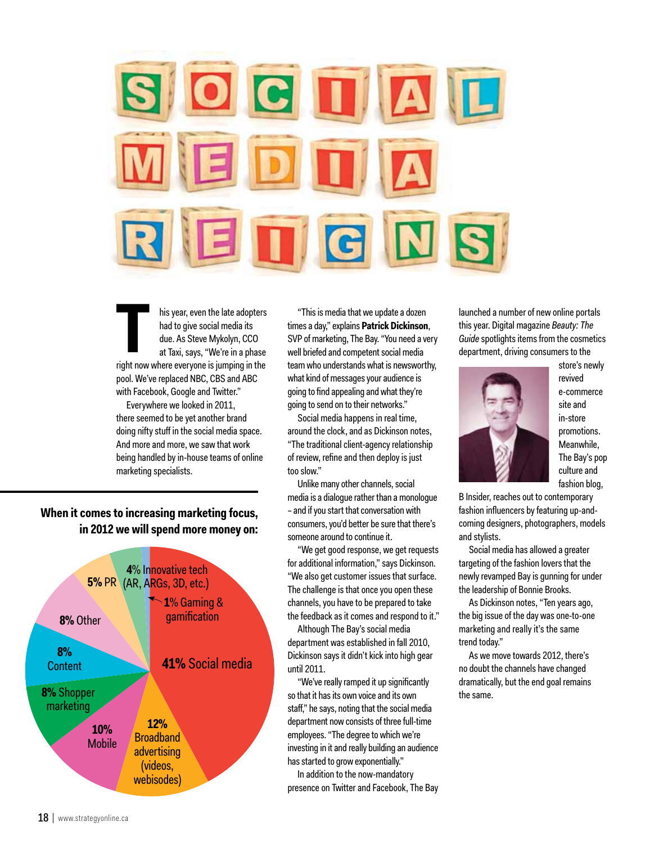

his year, even the late adopters had to give social media its due. As Steve Mykolyn, CCO at Taxi, says, "We're in a phase right now where everyone is jumping in the **T** pool. We've replaced NBC, CBS and ABC with Facebook, Google and Twitter."

Everywhere we looked in 2011, there seemed to be yet another brand doing nifty stuff in the social media space. And more and more, we saw that work being handled by in-house teams of online marketing specialists.

### **When it comes to increasing marketing focus, in 2012 we will spend more money on:**



"This is media that we update a dozen times a day," explains **Patrick Dickinson**, SVP of marketing, The Bay. "You need a very well briefed and competent social media team who understands what is newsworthy, what kind of messages your audience is going to find appealing and what they're going to send on to their networks."

Social media happens in real time, around the clock, and as Dickinson notes, "The traditional client-agency relationship of review, refine and then deploy is just too slow."

Unlike many other channels, social media is a dialogue rather than a monologue – and if you start that conversation with consumers, you'd better be sure that there's someone around to continue it.

"We get good response, we get requests for additional information," says Dickinson. "We also get customer issues that surface. The challenge is that once you open these channels, you have to be prepared to take the feedback as it comes and respond to it."

Although The Bay's social media department was established in fall 2010, Dickinson says it didn't kick into high gear until 2011.

"We've really ramped it up significantly so that it has its own voice and its own staff," he says, noting that the social media department now consists of three full-time employees. "The degree to which we're investing in it and really building an audience has started to grow exponentially."

In addition to the now-mandatory presence on Twitter and Facebook, The Bay launched a number of new online portals this year. Digital magazine *Beauty: The Guide* spotlights items from the cosmetics department, driving consumers to the



store's newly revived e-commerce site and in-store promotions. Meanwhile, The Bay's pop culture and fashion blog,

B Insider, reaches out to contemporary fashion influencers by featuring up-andcoming designers, photographers, models and stylists.

Social media has allowed a greater targeting of the fashion lovers that the newly revamped Bay is gunning for under the leadership of Bonnie Brooks.

As Dickinson notes, "Ten years ago, the big issue of the day was one-to-one marketing and really it's the same trend today."

As we move towards 2012, there's no doubt the channels have changed dramatically, but the end goal remains the same.